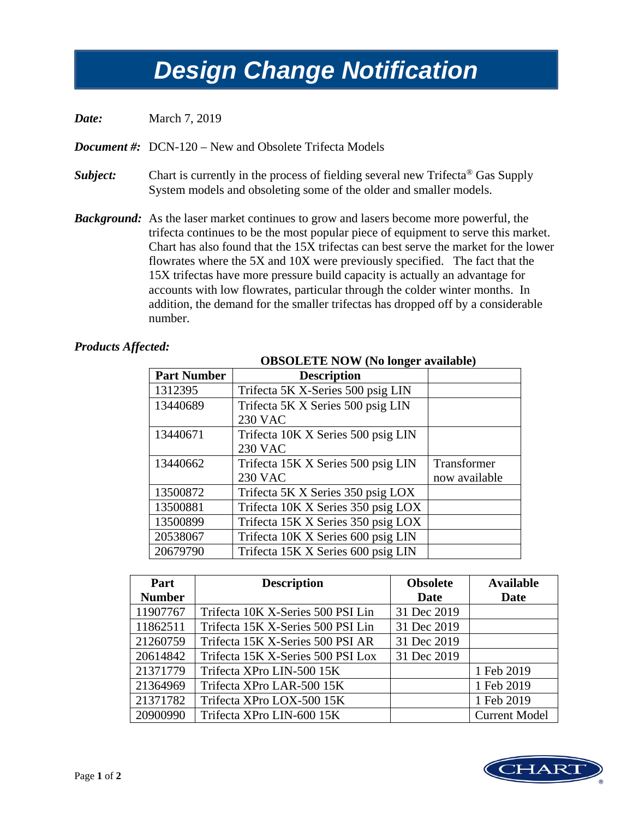## *Design Change Notification Design Change Notification*

*Date:* March 7, 2019

*Document #:* DCN-120 – New and Obsolete Trifecta Models

- *Subject:* Chart is currently in the process of fielding several new Trifecta<sup>®</sup> Gas Supply System models and obsoleting some of the older and smaller models.
- *Background:* As the laser market continues to grow and lasers become more powerful, the trifecta continues to be the most popular piece of equipment to serve this market. Chart has also found that the 15X trifectas can best serve the market for the lower flowrates where the 5X and 10X were previously specified. The fact that the 15X trifectas have more pressure build capacity is actually an advantage for accounts with low flowrates, particular through the colder winter months. In addition, the demand for the smaller trifectas has dropped off by a considerable number.

## *Products Affected:*

## **OBSOLETE NOW (No longer available)**

| <b>Part Number</b> | <b>Description</b>                 |               |
|--------------------|------------------------------------|---------------|
| 1312395            | Trifecta 5K X-Series 500 psig LIN  |               |
| 13440689           | Trifecta 5K X Series 500 psig LIN  |               |
|                    | <b>230 VAC</b>                     |               |
| 13440671           | Trifecta 10K X Series 500 psig LIN |               |
|                    | <b>230 VAC</b>                     |               |
| 13440662           | Trifecta 15K X Series 500 psig LIN | Transformer   |
|                    | <b>230 VAC</b>                     | now available |
| 13500872           | Trifecta 5K X Series 350 psig LOX  |               |
| 13500881           | Trifecta 10K X Series 350 psig LOX |               |
| 13500899           | Trifecta 15K X Series 350 psig LOX |               |
| 20538067           | Trifecta 10K X Series 600 psig LIN |               |
| 20679790           | Trifecta 15K X Series 600 psig LIN |               |

| Part          | <b>Description</b>                | <b>Obsolete</b> | <b>Available</b>     |
|---------------|-----------------------------------|-----------------|----------------------|
| <b>Number</b> |                                   | <b>Date</b>     | <b>Date</b>          |
| 11907767      | Trifecta 10K X-Series 500 PSI Lin | 31 Dec 2019     |                      |
| 11862511      | Trifecta 15K X-Series 500 PSI Lin | 31 Dec 2019     |                      |
| 21260759      | Trifecta 15K X-Series 500 PSI AR  | 31 Dec 2019     |                      |
| 20614842      | Trifecta 15K X-Series 500 PSI Lox | 31 Dec 2019     |                      |
| 21371779      | Trifecta XPro LIN-500 15K         |                 | 1 Feb 2019           |
| 21364969      | Trifecta XPro LAR-500 15K         |                 | 1 Feb 2019           |
| 21371782      | Trifecta XPro LOX-500 15K         |                 | 1 Feb 2019           |
| 20900990      | Trifecta XPro LIN-600 15K         |                 | <b>Current Model</b> |